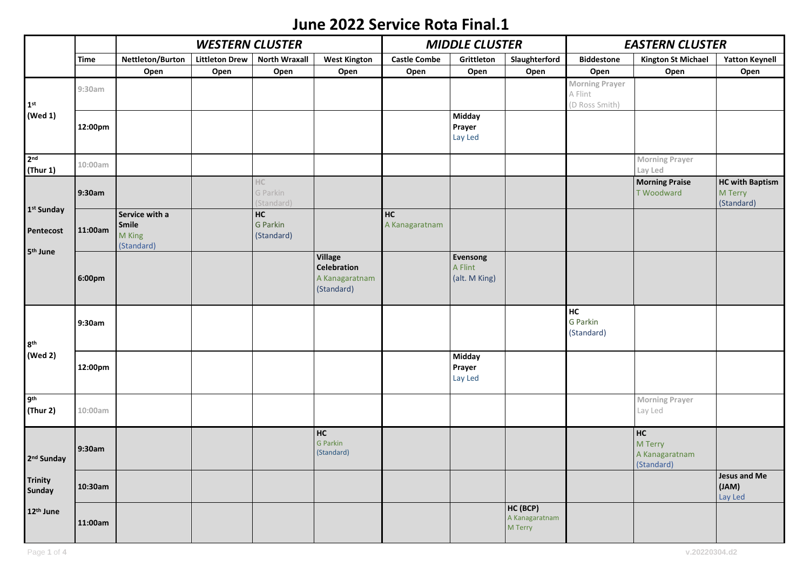## **June 2022 Service Rota Final.1**

|                                 |             |                                                 | <b>WESTERN CLUSTER</b> |                              |                                                                      | <b>MIDDLE CLUSTER</b> |                                      |                                       | <b>EASTERN CLUSTER</b>                             |                                               |                                                 |
|---------------------------------|-------------|-------------------------------------------------|------------------------|------------------------------|----------------------------------------------------------------------|-----------------------|--------------------------------------|---------------------------------------|----------------------------------------------------|-----------------------------------------------|-------------------------------------------------|
|                                 | <b>Time</b> | Nettleton/Burton                                | <b>Littleton Drew</b>  | <b>North Wraxall</b>         | <b>West Kington</b>                                                  | <b>Castle Combe</b>   | Grittleton                           | Slaughterford                         | <b>Biddestone</b>                                  | <b>Kington St Michael</b>                     | <b>Yatton Keynell</b>                           |
|                                 |             | Open                                            | Open                   | Open                         | Open                                                                 | Open                  | Open                                 | Open                                  | Open                                               | Open                                          | Open                                            |
| $1st$<br>(Wed 1)                | 9:30am      |                                                 |                        |                              |                                                                      |                       |                                      |                                       | <b>Morning Prayer</b><br>A Flint<br>(D Ross Smith) |                                               |                                                 |
|                                 | 12:00pm     |                                                 |                        |                              |                                                                      |                       | <b>Midday</b><br>Prayer<br>Lay Led   |                                       |                                                    |                                               |                                                 |
| 2 <sub>nd</sub><br>(Thur 1)     | 10:00am     |                                                 |                        |                              |                                                                      |                       |                                      |                                       |                                                    | <b>Morning Prayer</b><br>Lay Led              |                                                 |
| 1 <sup>st</sup> Sunday          | 9:30am      |                                                 |                        | HC<br>G Parkin<br>(Standard) |                                                                      |                       |                                      |                                       |                                                    | <b>Morning Praise</b><br><b>T Woodward</b>    | <b>HC with Baptism</b><br>M Terry<br>(Standard) |
| Pentecost                       | 11:00am     | Service with a<br>Smile<br>M King<br>(Standard) |                        | HC<br>G Parkin<br>(Standard) |                                                                      | HC<br>A Kanagaratnam  |                                      |                                       |                                                    |                                               |                                                 |
| 5 <sup>th</sup> June            | 6:00pm      |                                                 |                        |                              | <b>Village</b><br><b>Celebration</b><br>A Kanagaratnam<br>(Standard) |                       | Evensong<br>A Flint<br>(alt. M King) |                                       |                                                    |                                               |                                                 |
| 8 <sup>th</sup>                 | 9:30am      |                                                 |                        |                              |                                                                      |                       |                                      |                                       | <b>HC</b><br>G Parkin<br>(Standard)                |                                               |                                                 |
| (Wed 2)                         | 12:00pm     |                                                 |                        |                              |                                                                      |                       | <b>Midday</b><br>Prayer<br>Lay Led   |                                       |                                                    |                                               |                                                 |
| 9 <sup>th</sup><br>(Thur 2)     | 10:00am     |                                                 |                        |                              |                                                                      |                       |                                      |                                       |                                                    | <b>Morning Prayer</b><br>Lay Led              |                                                 |
| 2 <sup>nd</sup> Sunday          | 9:30am      |                                                 |                        |                              | HC<br>G Parkin<br>(Standard)                                         |                       |                                      |                                       |                                                    | HC<br>M Terry<br>A Kanagaratnam<br>(Standard) |                                                 |
| <b>Trinity</b><br><b>Sunday</b> | 10:30am     |                                                 |                        |                              |                                                                      |                       |                                      |                                       |                                                    |                                               | <b>Jesus and Me</b><br>(JAM)<br>Lay Led         |
| 12 <sup>th</sup> June           | 11:00am     |                                                 |                        |                              |                                                                      |                       |                                      | HC (BCP)<br>A Kanagaratnam<br>M Terry |                                                    |                                               |                                                 |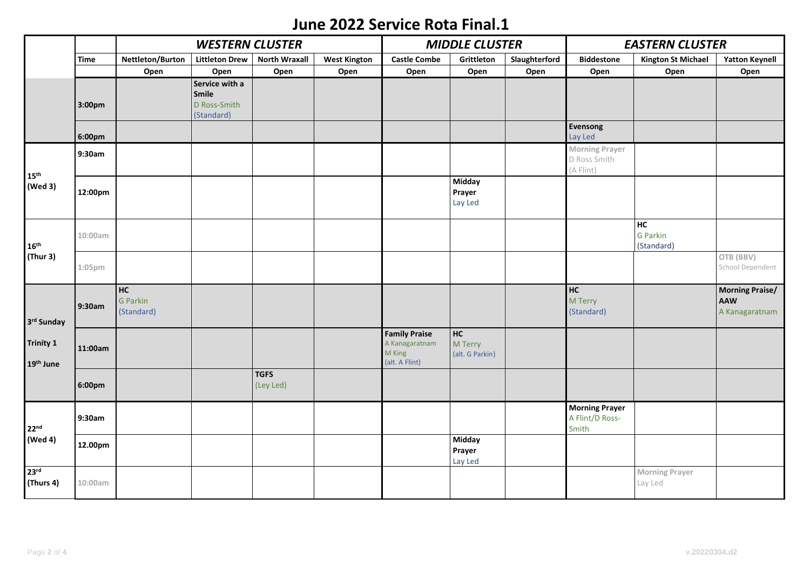## **June 2022 Service Rota Final.1**

|                                             |             | <b>WESTERN CLUSTER</b>              |                                                       |                          |                     | <b>MIDDLE CLUSTER</b>                                              |                                    |               | <b>EASTERN CLUSTER</b>                             |                                  |                                                 |
|---------------------------------------------|-------------|-------------------------------------|-------------------------------------------------------|--------------------------|---------------------|--------------------------------------------------------------------|------------------------------------|---------------|----------------------------------------------------|----------------------------------|-------------------------------------------------|
|                                             | <b>Time</b> | Nettleton/Burton                    | <b>Littleton Drew</b>                                 | <b>North Wraxall</b>     | <b>West Kington</b> | <b>Castle Combe</b>                                                | Grittleton                         | Slaughterford | <b>Biddestone</b>                                  | <b>Kington St Michael</b>        | <b>Yatton Keynell</b>                           |
|                                             |             | Open                                | Open                                                  | Open                     | Open                | Open                                                               | Open                               | Open          | Open                                               | Open                             | Open                                            |
|                                             | 3:00pm      |                                     | Service with a<br>Smile<br>D Ross-Smith<br>(Standard) |                          |                     |                                                                    |                                    |               |                                                    |                                  |                                                 |
|                                             | 6:00pm      |                                     |                                                       |                          |                     |                                                                    |                                    |               | Evensong<br>Lay Led                                |                                  |                                                 |
| $15^{th}$<br>(Wed 3)                        | 9:30am      |                                     |                                                       |                          |                     |                                                                    |                                    |               | <b>Morning Prayer</b><br>D Ross Smith<br>(A Flint) |                                  |                                                 |
|                                             | 12:00pm     |                                     |                                                       |                          |                     |                                                                    | <b>Midday</b><br>Prayer<br>Lay Led |               |                                                    |                                  |                                                 |
| $16th$<br>(Thur 3)                          | 10:00am     |                                     |                                                       |                          |                     |                                                                    |                                    |               |                                                    | HC<br>G Parkin<br>(Standard)     |                                                 |
|                                             | $1:05$ pm   |                                     |                                                       |                          |                     |                                                                    |                                    |               |                                                    |                                  | OTB (BBV)<br>School Dependent                   |
| 3rd Sunday<br><b>Trinity 1</b><br>19th June | 9:30am      | <b>HC</b><br>G Parkin<br>(Standard) |                                                       |                          |                     |                                                                    |                                    |               | <b>HC</b><br>M Terry<br>(Standard)                 |                                  | <b>Morning Praise/</b><br>AAW<br>A Kanagaratnam |
|                                             | 11:00am     |                                     |                                                       |                          |                     | <b>Family Praise</b><br>A Kanagaratnam<br>M King<br>(alt. A Flint) | HC<br>M Terry<br>(alt. G Parkin)   |               |                                                    |                                  |                                                 |
|                                             | 6:00pm      |                                     |                                                       | <b>TGFS</b><br>(Ley Led) |                     |                                                                    |                                    |               |                                                    |                                  |                                                 |
| 22 <sup>nd</sup><br>(Wed 4)                 | 9:30am      |                                     |                                                       |                          |                     |                                                                    |                                    |               | <b>Morning Prayer</b><br>A Flint/D Ross-<br>Smith  |                                  |                                                 |
|                                             | 12.00pm     |                                     |                                                       |                          |                     |                                                                    | <b>Midday</b><br>Prayer<br>Lay Led |               |                                                    |                                  |                                                 |
| 23 <sup>rd</sup><br>(Thurs 4)               | 10:00am     |                                     |                                                       |                          |                     |                                                                    |                                    |               |                                                    | <b>Morning Prayer</b><br>Lay Led |                                                 |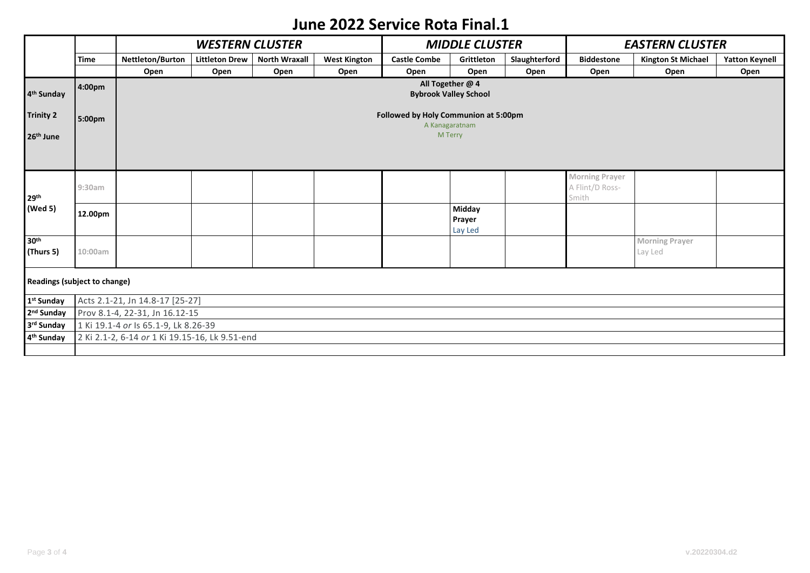## **June 2022 Service Rota Final.1**

|                              |             |                                                        | <b>MIDDLE CLUSTER</b> |                      |                     | <b>EASTERN CLUSTER</b> |            |               |                       |                           |                       |  |
|------------------------------|-------------|--------------------------------------------------------|-----------------------|----------------------|---------------------|------------------------|------------|---------------|-----------------------|---------------------------|-----------------------|--|
|                              | <b>Time</b> | Nettleton/Burton                                       | <b>Littleton Drew</b> | <b>North Wraxall</b> | <b>West Kington</b> | <b>Castle Combe</b>    | Grittleton | Slaughterford | <b>Biddestone</b>     | <b>Kington St Michael</b> | <b>Yatton Keynell</b> |  |
|                              |             | Open                                                   | Open                  | Open                 | Open                | Open                   | Open       | Open          | Open                  | Open                      | Open                  |  |
| 4 <sup>th</sup> Sunday       | 4:00pm      | All Together @ 4<br><b>Bybrook Valley School</b>       |                       |                      |                     |                        |            |               |                       |                           |                       |  |
| <b>Trinity 2</b>             | 5:00pm      | Followed by Holy Communion at 5:00pm<br>A Kanagaratnam |                       |                      |                     |                        |            |               |                       |                           |                       |  |
| 26 <sup>th</sup> June        |             | M Terry                                                |                       |                      |                     |                        |            |               |                       |                           |                       |  |
|                              |             |                                                        |                       |                      |                     |                        |            |               |                       |                           |                       |  |
|                              |             |                                                        |                       |                      |                     |                        |            |               | <b>Morning Prayer</b> |                           |                       |  |
|                              | 9:30am      |                                                        |                       |                      |                     |                        |            |               | A Flint/D Ross-       |                           |                       |  |
| 29 <sup>th</sup><br>(Wed 5)  |             |                                                        |                       |                      |                     |                        | Midday     |               | Smith                 |                           |                       |  |
|                              | 12.00pm     |                                                        |                       |                      |                     |                        | Prayer     |               |                       |                           |                       |  |
|                              |             |                                                        |                       |                      |                     |                        | Lay Led    |               |                       |                           |                       |  |
| 30 <sup>th</sup>             |             |                                                        |                       |                      |                     |                        |            |               |                       | <b>Morning Prayer</b>     |                       |  |
| (Thurs 5)                    | 10:00am     |                                                        |                       |                      |                     |                        |            |               |                       | Lay Led                   |                       |  |
|                              |             |                                                        |                       |                      |                     |                        |            |               |                       |                           |                       |  |
| Readings (subject to change) |             |                                                        |                       |                      |                     |                        |            |               |                       |                           |                       |  |
| 1 <sup>st</sup> Sunday       |             | Acts 2.1-21, Jn 14.8-17 [25-27]                        |                       |                      |                     |                        |            |               |                       |                           |                       |  |
| 2 <sup>nd</sup> Sunday       |             | Prov 8.1-4, 22-31, Jn 16.12-15                         |                       |                      |                     |                        |            |               |                       |                           |                       |  |
| 3rd Sunday                   |             | 1 Ki 19.1-4 or Is 65.1-9, Lk 8.26-39                   |                       |                      |                     |                        |            |               |                       |                           |                       |  |
| 4 <sup>th</sup> Sunday       |             | 2 Ki 2.1-2, 6-14 or 1 Ki 19.15-16, Lk 9.51-end         |                       |                      |                     |                        |            |               |                       |                           |                       |  |
|                              |             |                                                        |                       |                      |                     |                        |            |               |                       |                           |                       |  |